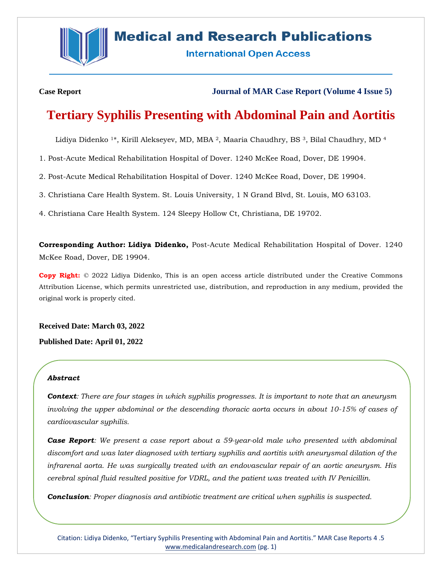

## **Medical and Research Publications**

**International Open Access** 

**Case Report Journal of MAR Case Report (Volume 4 Issue 5)**

# **Tertiary Syphilis Presenting with Abdominal Pain and Aortitis**

Lidiya Didenko <sup>1\*</sup>, Kirill Alekseyev, MD, MBA <sup>2</sup>, Maaria Chaudhry, BS <sup>3</sup>, Bilal Chaudhry, MD <sup>4</sup>

1. Post-Acute Medical Rehabilitation Hospital of Dover. 1240 McKee Road, Dover, DE 19904.

2. Post-Acute Medical Rehabilitation Hospital of Dover. 1240 McKee Road, Dover, DE 19904.

3. Christiana Care Health System. St. Louis University, 1 N Grand Blvd, St. Louis, MO 63103.

4. Christiana Care Health System. 124 Sleepy Hollow Ct, Christiana, DE 19702.

**Corresponding Author: Lidiya Didenko,** Post-Acute Medical Rehabilitation Hospital of Dover. 1240 McKee Road, Dover, DE 19904.

**Copy Right:** © 2022 Lidiya Didenko, This is an open access article distributed under the Creative Commons Attribution License, which permits unrestricted use, distribution, and reproduction in any medium, provided the original work is properly cited.

**Received Date: March 03, 2022**

**Published Date: April 01, 2022**

#### *Abstract*

*Context: There are four stages in which syphilis progresses. It is important to note that an aneurysm involving the upper abdominal or the descending thoracic aorta occurs in about 10-15% of cases of cardiovascular syphilis.* 

*Case Report: We present a case report about a 59-year-old male who presented with abdominal discomfort and was later diagnosed with tertiary syphilis and aortitis with aneurysmal dilation of the infrarenal aorta. He was surgically treated with an endovascular repair of an aortic aneurysm. His cerebral spinal fluid resulted positive for VDRL, and the patient was treated with IV Penicillin.* 

*Conclusion: Proper diagnosis and antibiotic treatment are critical when syphilis is suspected.*

Citation: Lidiya Didenko, "Tertiary Syphilis Presenting with Abdominal Pain and Aortitis." MAR Case Reports 4 .5 [www.medicalandresearch.com](http://www.medicalandresearch.com/) (pg. 1)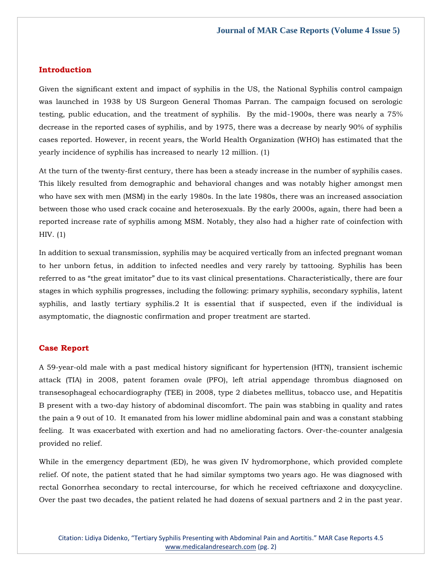## **Introduction**

Given the significant extent and impact of syphilis in the US, the National Syphilis control campaign was launched in 1938 by US Surgeon General Thomas Parran. The campaign focused on serologic testing, public education, and the treatment of syphilis. By the mid-1900s, there was nearly a 75% decrease in the reported cases of syphilis, and by 1975, there was a decrease by nearly 90% of syphilis cases reported. However, in recent years, the World Health Organization (WHO) has estimated that the yearly incidence of syphilis has increased to nearly 12 million. (1)

At the turn of the twenty-first century, there has been a steady increase in the number of syphilis cases. This likely resulted from demographic and behavioral changes and was notably higher amongst men who have sex with men (MSM) in the early 1980s. In the late 1980s, there was an increased association between those who used crack cocaine and heterosexuals. By the early 2000s, again, there had been a reported increase rate of syphilis among MSM. Notably, they also had a higher rate of coinfection with HIV. (1)

In addition to sexual transmission, syphilis may be acquired vertically from an infected pregnant woman to her unborn fetus, in addition to infected needles and very rarely by tattooing. Syphilis has been referred to as "the great imitator" due to its vast clinical presentations. Characteristically, there are four stages in which syphilis progresses, including the following: primary syphilis, secondary syphilis, latent syphilis, and lastly tertiary syphilis.2 It is essential that if suspected, even if the individual is asymptomatic, the diagnostic confirmation and proper treatment are started.

#### **Case Report**

A 59-year-old male with a past medical history significant for hypertension (HTN), transient ischemic attack (TIA) in 2008, patent foramen ovale (PFO), left atrial appendage thrombus diagnosed on transesophageal echocardiography (TEE) in 2008, type 2 diabetes mellitus, tobacco use, and Hepatitis B present with a two-day history of abdominal discomfort. The pain was stabbing in quality and rates the pain a 9 out of 10. It emanated from his lower midline abdominal pain and was a constant stabbing feeling. It was exacerbated with exertion and had no ameliorating factors. Over-the-counter analgesia provided no relief.

While in the emergency department (ED), he was given IV hydromorphone, which provided complete relief. Of note, the patient stated that he had similar symptoms two years ago. He was diagnosed with rectal Gonorrhea secondary to rectal intercourse, for which he received ceftriaxone and doxycycline. Over the past two decades, the patient related he had dozens of sexual partners and 2 in the past year.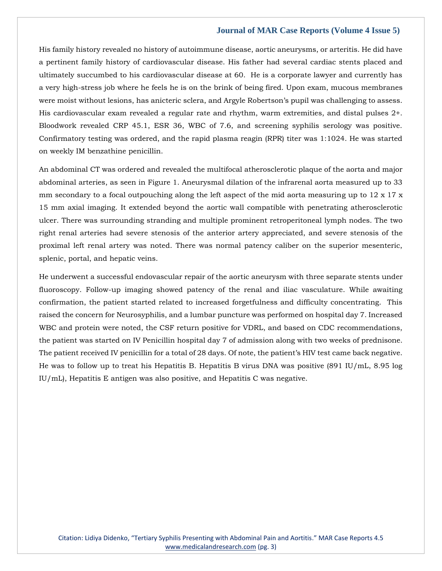#### **Journal of MAR Case Reports (Volume 4 Issue 5)**

His family history revealed no history of autoimmune disease, aortic aneurysms, or arteritis. He did have a pertinent family history of cardiovascular disease. His father had several cardiac stents placed and ultimately succumbed to his cardiovascular disease at 60. He is a corporate lawyer and currently has a very high-stress job where he feels he is on the brink of being fired. Upon exam, mucous membranes were moist without lesions, has anicteric sclera, and Argyle Robertson's pupil was challenging to assess. His cardiovascular exam revealed a regular rate and rhythm, warm extremities, and distal pulses 2+. Bloodwork revealed CRP 45.1, ESR 36, WBC of 7.6, and screening syphilis serology was positive. Confirmatory testing was ordered, and the rapid plasma reagin (RPR) titer was 1:1024. He was started on weekly IM benzathine penicillin.

An abdominal CT was ordered and revealed the multifocal atherosclerotic plaque of the aorta and major abdominal arteries, as seen in Figure 1. Aneurysmal dilation of the infrarenal aorta measured up to 33 mm secondary to a focal outpouching along the left aspect of the mid aorta measuring up to  $12 \times 17 \times$ 15 mm axial imaging. It extended beyond the aortic wall compatible with penetrating atherosclerotic ulcer. There was surrounding stranding and multiple prominent retroperitoneal lymph nodes. The two right renal arteries had severe stenosis of the anterior artery appreciated, and severe stenosis of the proximal left renal artery was noted. There was normal patency caliber on the superior mesenteric, splenic, portal, and hepatic veins.

He underwent a successful endovascular repair of the aortic aneurysm with three separate stents under fluoroscopy. Follow-up imaging showed patency of the renal and iliac vasculature. While awaiting confirmation, the patient started related to increased forgetfulness and difficulty concentrating. This raised the concern for Neurosyphilis, and a lumbar puncture was performed on hospital day 7. Increased WBC and protein were noted, the CSF return positive for VDRL, and based on CDC recommendations, the patient was started on IV Penicillin hospital day 7 of admission along with two weeks of prednisone. The patient received IV penicillin for a total of 28 days. Of note, the patient's HIV test came back negative. He was to follow up to treat his Hepatitis B. Hepatitis B virus DNA was positive (891 IU/mL, 8.95 log IU/mL), Hepatitis E antigen was also positive, and Hepatitis C was negative.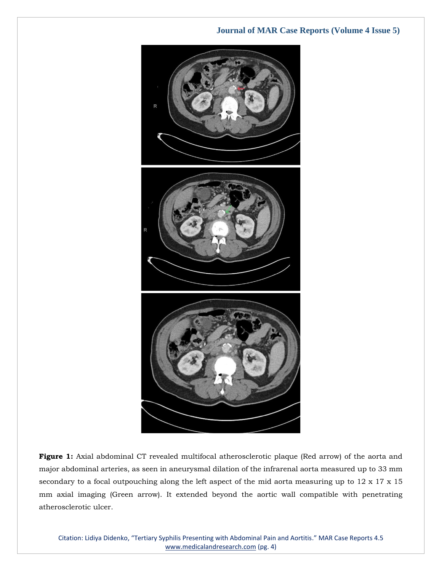### **Journal of MAR Case Reports (Volume 4 Issue 5)**



**Figure 1:** Axial abdominal CT revealed multifocal atherosclerotic plaque (Red arrow) of the aorta and major abdominal arteries, as seen in aneurysmal dilation of the infrarenal aorta measured up to 33 mm secondary to a focal outpouching along the left aspect of the mid aorta measuring up to 12 x 17 x 15 mm axial imaging (Green arrow). It extended beyond the aortic wall compatible with penetrating atherosclerotic ulcer.

Citation: Lidiya Didenko, "Tertiary Syphilis Presenting with Abdominal Pain and Aortitis." MAR Case Reports 4.5 [www.medicalandresearch.com](http://www.medicalandresearch.com/) (pg. 4)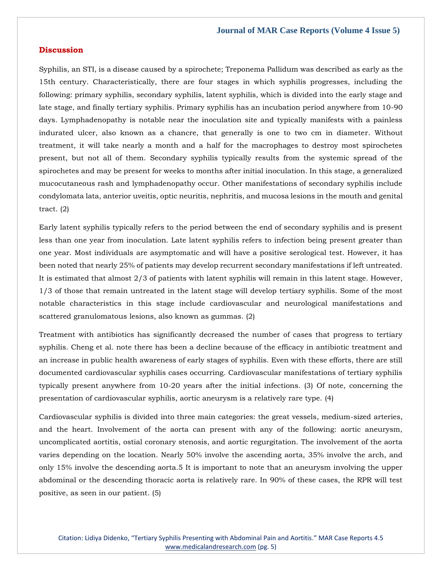#### **Discussion**

Syphilis, an STI, is a disease caused by a spirochete; Treponema Pallidum was described as early as the 15th century. Characteristically, there are four stages in which syphilis progresses, including the following: primary syphilis, secondary syphilis, latent syphilis, which is divided into the early stage and late stage, and finally tertiary syphilis. Primary syphilis has an incubation period anywhere from 10-90 days. Lymphadenopathy is notable near the inoculation site and typically manifests with a painless indurated ulcer, also known as a chancre, that generally is one to two cm in diameter. Without treatment, it will take nearly a month and a half for the macrophages to destroy most spirochetes present, but not all of them. Secondary syphilis typically results from the systemic spread of the spirochetes and may be present for weeks to months after initial inoculation. In this stage, a generalized mucocutaneous rash and lymphadenopathy occur. Other manifestations of secondary syphilis include condylomata lata, anterior uveitis, optic neuritis, nephritis, and mucosa lesions in the mouth and genital tract. (2)

Early latent syphilis typically refers to the period between the end of secondary syphilis and is present less than one year from inoculation. Late latent syphilis refers to infection being present greater than one year. Most individuals are asymptomatic and will have a positive serological test. However, it has been noted that nearly 25% of patients may develop recurrent secondary manifestations if left untreated. It is estimated that almost 2/3 of patients with latent syphilis will remain in this latent stage. However, 1/3 of those that remain untreated in the latent stage will develop tertiary syphilis. Some of the most notable characteristics in this stage include cardiovascular and neurological manifestations and scattered granulomatous lesions, also known as gummas. (2)

Treatment with antibiotics has significantly decreased the number of cases that progress to tertiary syphilis. Cheng et al. note there has been a decline because of the efficacy in antibiotic treatment and an increase in public health awareness of early stages of syphilis. Even with these efforts, there are still documented cardiovascular syphilis cases occurring. Cardiovascular manifestations of tertiary syphilis typically present anywhere from 10-20 years after the initial infections. (3) Of note, concerning the presentation of cardiovascular syphilis, aortic aneurysm is a relatively rare type. (4)

Cardiovascular syphilis is divided into three main categories: the great vessels, medium-sized arteries, and the heart. Involvement of the aorta can present with any of the following: aortic aneurysm, uncomplicated aortitis, ostial coronary stenosis, and aortic regurgitation. The involvement of the aorta varies depending on the location. Nearly 50% involve the ascending aorta, 35% involve the arch, and only 15% involve the descending aorta.5 It is important to note that an aneurysm involving the upper abdominal or the descending thoracic aorta is relatively rare. In 90% of these cases, the RPR will test positive, as seen in our patient. (5)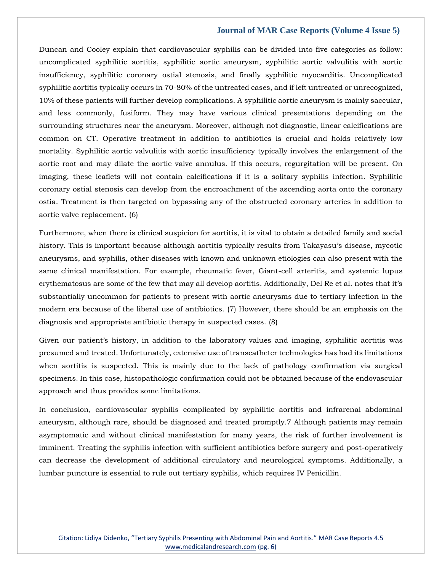#### **Journal of MAR Case Reports (Volume 4 Issue 5)**

Duncan and Cooley explain that cardiovascular syphilis can be divided into five categories as follow: uncomplicated syphilitic aortitis, syphilitic aortic aneurysm, syphilitic aortic valvulitis with aortic insufficiency, syphilitic coronary ostial stenosis, and finally syphilitic myocarditis. Uncomplicated syphilitic aortitis typically occurs in 70-80% of the untreated cases, and if left untreated or unrecognized, 10% of these patients will further develop complications. A syphilitic aortic aneurysm is mainly saccular, and less commonly, fusiform. They may have various clinical presentations depending on the surrounding structures near the aneurysm. Moreover, although not diagnostic, linear calcifications are common on CT. Operative treatment in addition to antibiotics is crucial and holds relatively low mortality. Syphilitic aortic valvulitis with aortic insufficiency typically involves the enlargement of the aortic root and may dilate the aortic valve annulus. If this occurs, regurgitation will be present. On imaging, these leaflets will not contain calcifications if it is a solitary syphilis infection. Syphilitic coronary ostial stenosis can develop from the encroachment of the ascending aorta onto the coronary ostia. Treatment is then targeted on bypassing any of the obstructed coronary arteries in addition to aortic valve replacement. (6)

Furthermore, when there is clinical suspicion for aortitis, it is vital to obtain a detailed family and social history. This is important because although aortitis typically results from Takayasu's disease, mycotic aneurysms, and syphilis, other diseases with known and unknown etiologies can also present with the same clinical manifestation. For example, rheumatic fever, Giant-cell arteritis, and systemic lupus erythematosus are some of the few that may all develop aortitis. Additionally, Del Re et al. notes that it's substantially uncommon for patients to present with aortic aneurysms due to tertiary infection in the modern era because of the liberal use of antibiotics. (7) However, there should be an emphasis on the diagnosis and appropriate antibiotic therapy in suspected cases. (8)

Given our patient's history, in addition to the laboratory values and imaging, syphilitic aortitis was presumed and treated. Unfortunately, extensive use of transcatheter technologies has had its limitations when aortitis is suspected. This is mainly due to the lack of pathology confirmation via surgical specimens. In this case, histopathologic confirmation could not be obtained because of the endovascular approach and thus provides some limitations.

In conclusion, cardiovascular syphilis complicated by syphilitic aortitis and infrarenal abdominal aneurysm, although rare, should be diagnosed and treated promptly.7 Although patients may remain asymptomatic and without clinical manifestation for many years, the risk of further involvement is imminent. Treating the syphilis infection with sufficient antibiotics before surgery and post-operatively can decrease the development of additional circulatory and neurological symptoms. Additionally, a lumbar puncture is essential to rule out tertiary syphilis, which requires IV Penicillin.